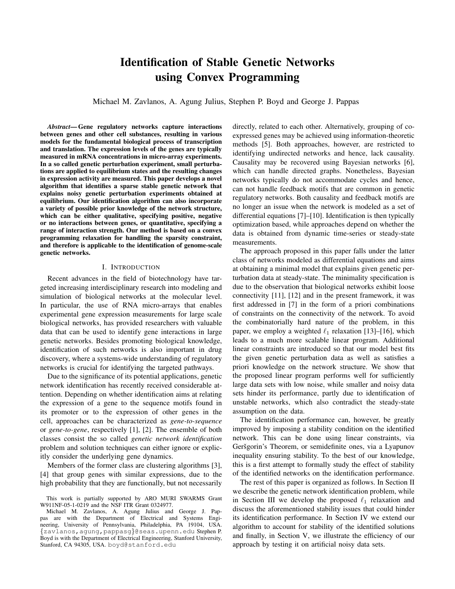# Identification of Stable Genetic Networks using Convex Programming

Michael M. Zavlanos, A. Agung Julius, Stephen P. Boyd and George J. Pappas

*Abstract*— Gene regulatory networks capture interactions between genes and other cell substances, resulting in various models for the fundamental biological process of transcription and translation. The expression levels of the genes are typically measured in mRNA concentrations in micro-array experiments. In a so called genetic perturbation experiment, small perturbations are applied to equilibrium states and the resulting changes in expression activity are measured. This paper develops a novel algorithm that identifies a sparse stable genetic network that explains noisy genetic perturbation experiments obtained at equilibrium. Our identification algorithm can also incorporate a variety of possible prior knowledge of the network structure, which can be either qualitative, specifying positive, negative or no interactions between genes, or quantitative, specifying a range of interaction strength. Our method is based on a convex programming relaxation for handling the sparsity constraint, and therefore is applicable to the identification of genome-scale genetic networks.

## I. INTRODUCTION

Recent advances in the field of biotechnology have targeted increasing interdisciplinary research into modeling and simulation of biological networks at the molecular level. In particular, the use of RNA micro-arrays that enables experimental gene expression measurements for large scale biological networks, has provided researchers with valuable data that can be used to identify gene interactions in large genetic networks. Besides promoting biological knowledge, identification of such networks is also important in drug discovery, where a systems-wide understanding of regulatory networks is crucial for identifying the targeted pathways.

Due to the significance of its potential applications, genetic network identification has recently received considerable attention. Depending on whether identification aims at relating the expression of a gene to the sequence motifs found in its promoter or to the expression of other genes in the cell, approaches can be characterized as *gene-to-sequence* or *gene-to-gene*, respectively [1], [2]. The ensemble of both classes consist the so called *genetic network identification* problem and solution techniques can either ignore or explicitly consider the underlying gene dynamics.

Members of the former class are clustering algorithms [3], [4] that group genes with similar expressions, due to the high probability that they are functionally, but not necessarily directly, related to each other. Alternatively, grouping of coexpressed genes may be achieved using information-theoretic methods [5]. Both approaches, however, are restricted to identifying undirected networks and hence, lack causality. Causality may be recovered using Bayesian networks [6], which can handle directed graphs. Nonetheless, Bayesian networks typically do not accommodate cycles and hence, can not handle feedback motifs that are common in genetic regulatory networks. Both causality and feedback motifs are no longer an issue when the network is modeled as a set of differential equations [7]–[10]. Identification is then typically optimization based, while approaches depend on whether the data is obtained from dynamic time-series or steady-state measurements.

The approach proposed in this paper falls under the latter class of networks modeled as differential equations and aims at obtaining a minimal model that explains given genetic perturbation data at steady-state. The minimality specification is due to the observation that biological networks exhibit loose connectivity [11], [12] and in the present framework, it was first addressed in [7] in the form of a priori combinations of constraints on the connectivity of the network. To avoid the combinatorially hard nature of the problem, in this paper, we employ a weighted  $\ell_1$  relaxation [13]–[16], which leads to a much more scalable linear program. Additional linear constraints are introduced so that our model best fits the given genetic perturbation data as well as satisfies a priori knowledge on the network structure. We show that the proposed linear program performs well for sufficiently large data sets with low noise, while smaller and noisy data sets hinder its performance, partly due to identification of unstable networks, which also contradict the steady-state assumption on the data.

The identification performance can, however, be greatly improved by imposing a stability condition on the identified network. This can be done using linear constraints, via Geršgorin's Theorem, or semidefinite ones, via a Lyapunov inequality ensuring stability. To the best of our knowledge, this is a first attempt to formally study the effect of stability of the identified networks on the identification performance.

The rest of this paper is organized as follows. In Section II we describe the genetic network identification problem, while in Section III we develop the proposed  $\ell_1$  relaxation and discuss the aforementioned stability issues that could hinder its identification performance. In Section IV we extend our algorithm to account for stability of the identified solutions and finally, in Section V, we illustrate the efficiency of our approach by testing it on artificial noisy data sets.

This work is partially supported by ARO MURI SWARMS Grant W911NF-05-1-0219 and the NSF ITR Grant 0324977.

Michael M. Zavlanos, A. Agung Julius and George J. Pappas are with the Department of Electrical and Systems Engineering, University of Pennsylvania, Philadelphia, PA 19104, USA. {zavlanos,agung,pappasg}@seas.upenn.edu Stephen P. Boyd is with the Department of Electrical Engineering, Stanford University, Stanford, CA 94305, USA. boyd@stanford.edu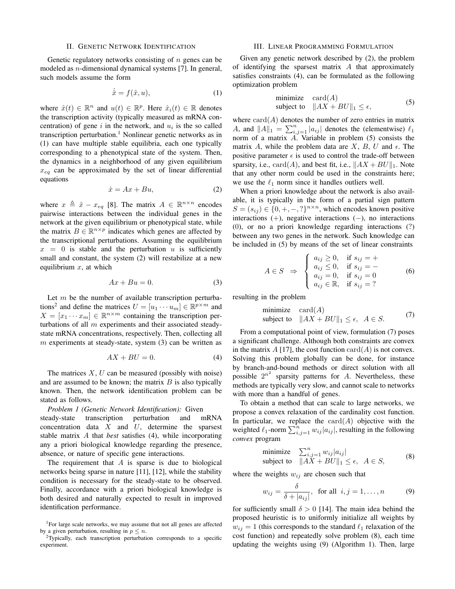#### II. GENETIC NETWORK IDENTIFICATION

Genetic regulatory networks consisting of  $n$  genes can be modeled as n-dimensional dynamical systems [7]. In general, such models assume the form

$$
\dot{\hat{x}} = f(\hat{x}, u),\tag{1}
$$

where  $\hat{x}(t) \in \mathbb{R}^n$  and  $u(t) \in \mathbb{R}^p$ . Here  $\hat{x}_i(t) \in \mathbb{R}$  denotes the transcription activity (typically measured as mRNA concentration) of gene  $i$  in the network, and  $u_i$  is the so called transcription perturbation.<sup>1</sup> Nonlinear genetic networks as in (1) can have multiple stable equilibria, each one typically corresponding to a phenotypical state of the system. Then, the dynamics in a neighborhood of any given equilibrium  $x_{eq}$  can be approximated by the set of linear differential equations

$$
\dot{x} = Ax + Bu,\tag{2}
$$

where  $x \triangleq \hat{x} - x_{eq}$  [8]. The matrix  $A \in \mathbb{R}^{n \times n}$  encodes pairwise interactions between the individual genes in the network at the given equilibrium or phenotypical state, while the matrix  $B \in \mathbb{R}^{n \times p}$  indicates which genes are affected by the transcriptional perturbations. Assuming the equilibrium  $x = 0$  is stable and the perturbation u is sufficiently small and constant, the system (2) will restabilize at a new equilibrium  $x$ , at which

$$
Ax + Bu = 0.\t\t(3)
$$

Let  $m$  be the number of available transcription perturbations<sup>2</sup> and define the matrices  $U = [u_1 \cdots u_m] \in \mathbb{R}^{p \times m}$  and  $X = [x_1 \cdots x_m] \in \mathbb{R}^{n \times m}$  containing the transcription perturbations of all  $m$  experiments and their associated steadystate mRNA concentrations, respectively. Then, collecting all  $m$  experiments at steady-state, system  $(3)$  can be written as

$$
AX + BU = 0.\t\t(4)
$$

The matrices  $X, U$  can be measured (possibly with noise) and are assumed to be known; the matrix  $B$  is also typically known. Then, the network identification problem can be stated as follows.

#### *Problem 1 (Genetic Network Identification):* Given

steady-state transcription perturbation and mRNA concentration data  $X$  and  $U$ , determine the sparsest stable matrix A that *best* satisfies (4), while incorporating any a priori biological knowledge regarding the presence, absence, or nature of specific gene interactions.

The requirement that  $A$  is sparse is due to biological networks being sparse in nature [11], [12], while the stability condition is necessary for the steady-state to be observed. Finally, accordance with a priori biological knowledge is both desired and naturally expected to result in improved identification performance.

#### III. LINEAR PROGRAMMING FORMULATION

Given any genetic network described by (2), the problem of identifying the sparsest matrix  $A$  that approximately satisfies constraints (4), can be formulated as the following optimization problem

minimize 
$$
\operatorname{card}(A)
$$
  
subject to  $||AX + BU||_1 \le \epsilon$ , (5)

where  $card(A)$  denotes the number of zero entries in matrix where card  $(A)$  denotes the number of zero entries in matrix<br>
A, and  $||A||_1 = \sum_{i,j=1}^n |a_{ij}|$  denotes the (elementwise)  $\ell_1$ norm of a matrix  $\overrightarrow{A}$ . Variable in problem (5) consists the matrix A, while the problem data are X, B, U and  $\epsilon$ . The positive parameter  $\epsilon$  is used to control the trade-off between sparsity, i.e.,  $card(A)$ , and best fit, i.e.,  $||AX + BU||_1$ . Note that any other norm could be used in the constraints here; we use the  $\ell_1$  norm since it handles outliers well.

When a priori knowledge about the network is also available, it is typically in the form of a partial sign pattern  $S = (s_{ij}) \in \{0, +, -, ?\}^{n \times n}$ , which encodes known positive interactions  $(+)$ , negative interactions  $(-)$ , no interactions (0), or no a priori knowledge regarding interactions (?) between any two genes in the network. Such knowledge can be included in (5) by means of the set of linear constraints  $\overline{a}$ 

$$
A \in S \Rightarrow \begin{cases} a_{ij} \ge 0, & \text{if } s_{ij} = + \\ a_{ij} \le 0, & \text{if } s_{ij} = - \\ a_{ij} = 0, & \text{if } s_{ij} = 0 \\ a_{ij} \in \mathbb{R}, & \text{if } s_{ij} = ? \end{cases}
$$
 (6)

resulting in the problem

minimize 
$$
\operatorname{card}(A)
$$
  
subject to  $||AX + BU||_1 \le \epsilon$ ,  $A \in S$ . (7)

From a computational point of view, formulation (7) poses a significant challenge. Although both constraints are convex in the matrix A [17], the cost function  $card(A)$  is not convex. Solving this problem globally can be done, for instance by branch-and-bound methods or direct solution with all possible  $2^{n^2}$  sparsity patterns for A. Nevertheless, these methods are typically very slow, and cannot scale to networks with more than a handful of genes.

To obtain a method that can scale to large networks, we propose a convex relaxation of the cardinality cost function. In particular, we replace the  $card(A)$  objective with the In particular, we replace the card  $(A)$  objective with the weighted  $\ell_1$ -norm  $\sum_{i,j=1}^n w_{ij} |a_{ij}|$ , resulting in the following *convex* program

$$
\begin{array}{ll}\text{minimize} & \sum_{i,j=1}^{n} w_{ij} |a_{ij}|\\ \text{subject to} & \|AX + BU\|_1 \le \epsilon, \ A \in S,\end{array} \tag{8}
$$

where the weights  $w_{ij}$  are chosen such that

$$
w_{ij} = \frac{\delta}{\delta + |a_{ij}|}, \text{ for all } i, j = 1, \dots, n \tag{9}
$$

for sufficiently small  $\delta > 0$  [14]. The main idea behind the proposed heuristic is to uniformly initialize all weights by  $w_{ij} = 1$  (this corresponds to the standard  $\ell_1$  relaxation of the cost function) and repeatedly solve problem (8), each time updating the weights using (9) (Algorithm 1). Then, large

<sup>&</sup>lt;sup>1</sup>For large scale networks, we may assume that not all genes are affected by a given perturbation, resulting in  $p \leq n$ .

<sup>&</sup>lt;sup>2</sup>Typically, each transcription perturbation corresponds to a specific experiment.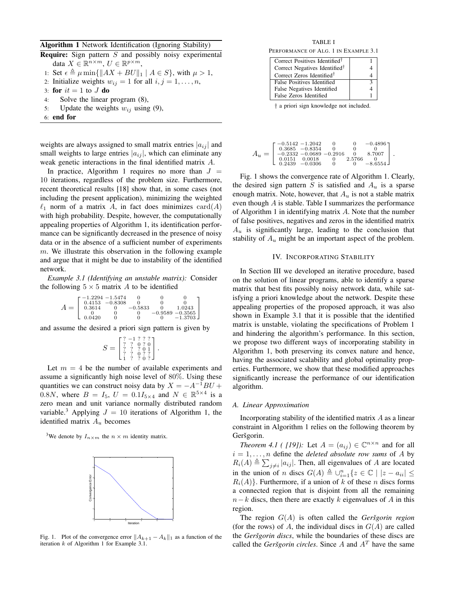## Algorithm 1 Network Identification (Ignoring Stability)

| <b>Require:</b> Sign pattern S and possibly noisy experimental                         |
|----------------------------------------------------------------------------------------|
| data $X \in \mathbb{R}^{n \times m}$ , $U \in \mathbb{R}^{p \times m}$ ,               |
| 1: Set $\epsilon \triangleq \mu \min\{\ AX + BU\ _1 \mid A \in S\}$ , with $\mu > 1$ , |
| 2: Initialize weights $w_{ij} = 1$ for all $i, j = 1, , n$ ,                           |
| 3: for $it = 1$ to J do                                                                |
| 4: Solve the linear program (8),                                                       |
| 5: Update the weights $w_{ij}$ using (9),                                              |
| $6:$ end for                                                                           |

weights are always assigned to small matrix entries  $|a_{ij}|$  and small weights to large entries  $|a_{ij}|$ , which can eliminate any weak genetic interactions in the final identified matrix A.

In practice, Algorithm 1 requires no more than  $J =$ 10 iterations, regardless of the problem size. Furthermore, recent theoretical results [18] show that, in some cases (not including the present application), minimizing the weighted  $\ell_1$  norm of a matrix A, in fact does minimizes card(A) with high probability. Despite, however, the computationally appealing properties of Algorithm 1, its identification performance can be significantly decreased in the presence of noisy data or in the absence of a sufficient number of experiments  $m$ . We illustrate this observation in the following example and argue that it might be due to instability of the identified network.

*Example 3.1 (Identifying an unstable matrix):* Consider the following  $5 \times 5$  matrix A to be identified

| $\begin{bmatrix} -1.2294 & -1.5474 \\ 0.4153 & -0.8308 \end{bmatrix}$<br>0.3614 | $0 -0.5833$ | 1.0243<br>$-0.9589 - 0.3565$ |  |
|---------------------------------------------------------------------------------|-------------|------------------------------|--|
| $\mathsf{L}$ 0.0420                                                             |             | $-1.3703$ J                  |  |

and assume the desired a priori sign pattern is given by

$$
S = \begin{bmatrix} ? & -1 & ? & ? & ? \\ ? & ? & ? & 0 & ? \\ ? & ? & ? & 0 & 1 \\ ? & ? & 0 & ? & ? \\ 1 & ? & ? & 0 & ? \end{bmatrix}.
$$

Let  $m = 4$  be the number of available experiments and assume a significantly high noise level of 80%. Using these quantities we can construct noisy data by  $X = -A^{-1}BU +$ 0.8N, where  $B = I_5$ ,  $U = 0.1I_{5 \times 4}$  and  $N \in \mathbb{R}^{5 \times 4}$  is a zero mean and unit variance normally distributed random variable.<sup>3</sup> Applying  $J = 10$  iterations of Algorithm 1, the identified matrix  $A_u$  becomes

<sup>3</sup>We denote by  $I_{n\times m}$  the  $n \times m$  identity matrix.



Fig. 1. Plot of the convergence error  $||A_{k+1} - A_k||_1$  as a function of the iteration  $k$  of Algorithm 1 for Example 3.1.

TABLE I

PERFORMANCE OF ALG. 1 IN EXAMPLE 3.1

| Correct Positives Identified <sup><math>\uparrow</math></sup> |  |
|---------------------------------------------------------------|--|
| Correct Negatives Identified <sup>†</sup>                     |  |
| Correct Zeros Identified <sup>†</sup>                         |  |
| False Positives Identified                                    |  |
| False Negatives Identified                                    |  |
| False Zeros Identified                                        |  |

† a priori sign knowledge not included.

$$
A_u = \begin{bmatrix} -0.5142 & -1.2042 & 0 & 0 & -0.4896 \\ 0.3685 & -0.8354 & 0 & 0 & 0 \\ -0.2332 & -0.0689 & -0.2916 & 0 & 8.7007 \\ 0.0151 & 0.0018 & 0 & 2.5766 & 0 \\ 0.2439 & -0.0306 & 0 & 0 & -8.6554 \end{bmatrix}.
$$

Fig. 1 shows the convergence rate of Algorithm 1. Clearly, the desired sign pattern S is satisfied and  $A_u$  is a sparse enough matrix. Note, however, that  $A_u$  is not a stable matrix even though A is stable. Table I summarizes the performance of Algorithm 1 in identifying matrix A. Note that the number of false positives, negatives and zeros in the identified matrix  $A_u$  is significantly large, leading to the conclusion that stability of  $A_u$  might be an important aspect of the problem.

#### IV. INCORPORATING STABILITY

In Section III we developed an iterative procedure, based on the solution of linear programs, able to identify a sparse matrix that best fits possibly noisy network data, while satisfying a priori knowledge about the network. Despite these appealing properties of the proposed approach, it was also shown in Example 3.1 that it is possible that the identified matrix is unstable, violating the specifications of Problem 1 and hindering the algorithm's performance. In this section, we propose two different ways of incorporating stability in Algorithm 1, both preserving its convex nature and hence, having the associated scalability and global optimality properties. Furthermore, we show that these modified approaches significantly increase the performance of our identification algorithm.

## *A. Linear Approximation*

Incorporating stability of the identified matrix A as a linear constraint in Algorithm 1 relies on the following theorem by Geršgorin.

*Theorem 4.1 ( [19])*: Let  $A = (a_{ij}) \in \mathbb{C}^{n \times n}$  and for all  $i = 1, \ldots, n$  define the *deleted absolute row sums* of A by  $R_i(A) \triangleq \sum_{j \neq i} |a_{ij}|$ . Then, all eigenvalues of A are located in the union of n discs  $G(A) \triangleq \bigcup_{i=1}^{n} \{z \in \mathbb{C} \mid |z - a_{ii}| \leq \}$  $R_i(A)$ . Furthermore, if a union of k of these n discs forms a connected region that is disjoint from all the remaining  $n-k$  discs, then there are exactly k eigenvalues of A in this region.

The region  $G(A)$  is often called the *Geršgorin region* (for the rows) of A, the individual discs in  $G(A)$  are called the *Geršgorin discs*, while the boundaries of these discs are called the *Geršgorin circles*. Since  $A$  and  $A<sup>T</sup>$  have the same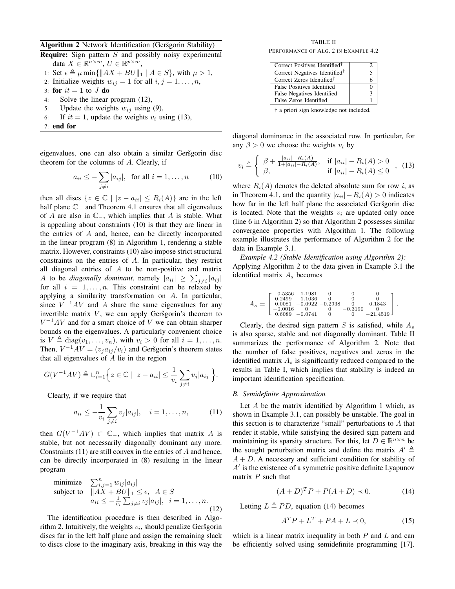# Algorithm 2 Network Identification (Geršgorin Stability)

**Require:** Sign pattern  $S$  and possibly noisy experimental data  $X \in \mathbb{R}^{n \times m}$ ,  $U \in \mathbb{R}^{p \times m}$ ,

- 1: Set  $\epsilon \triangleq \mu \min\{\Vert AX + BU\Vert_1 \mid A \in S\}$ , with  $\mu > 1$ ,
- 2: Initialize weights  $w_{ij} = 1$  for all  $i, j = 1, \ldots, n$ ,
- 3: for  $it = 1$  to  $J$  do
- 4: Solve the linear program (12),
- 5: Update the weights  $w_{ij}$  using (9),
- 6: If  $it = 1$ , update the weights  $v_i$  using (13),
- 7: end for

eigenvalues, one can also obtain a similar Geršgorin disc theorem for the columns of A. Clearly, if

$$
a_{ii} \leq -\sum_{j \neq i} |a_{ij}|, \text{ for all } i = 1, \dots, n \tag{10}
$$

then all discs  $\{z \in \mathbb{C} \mid |z - a_{ii}| \leq R_i(A)\}\$  are in the left half plane  $\mathbb{C}$  and Theorem 4.1 ensures that all eigenvalues of A are also in  $\mathbb{C}_-$ , which implies that A is stable. What is appealing about constraints (10) is that they are linear in the entries of A and, hence, can be directly incorporated in the linear program (8) in Algorithm 1, rendering a stable matrix. However, constraints (10) also impose strict structural constraints on the entries of A. In particular, they restrict all diagonal entries of A to be non-positive and matrix an diagonal entries of A to be non-positive and matrix<br>A to be *diagonally dominant*, namely  $|a_{ii}| \ge \sum_{j \ne i} |a_{ij}|$ for all  $i = 1, \ldots, n$ . This constraint can be relaxed by applying a similarity transformation on A. In particular, since  $V^{-1}AV$  and A share the same eigenvalues for any invertible matrix  $V$ , we can apply Gersgorin's theorem to  $V^{-1}AV$  and for a smart choice of V we can obtain sharper bounds on the eigenvalues. A particularly convenient choice is  $V \triangleq diag(v_1, \ldots, v_n)$ , with  $v_i > 0$  for all  $i = 1, \ldots, n$ . Then,  $V^{-1}AV = (v_j a_{ij}/v_i)$  and Geršgorin's theorem states that all eigenvalues of A lie in the region

$$
G(V^{-1}AV) \triangleq \bigcup_{i=1}^{n} \left\{ z \in \mathbb{C} \mid |z - a_{ii}| \leq \frac{1}{v_i} \sum_{j \neq i} v_j |a_{ij}| \right\}.
$$

Clearly, if we require that

$$
a_{ii} \le -\frac{1}{v_i} \sum_{j \ne i} v_j |a_{ij}|, \quad i = 1, \dots, n,
$$
 (11)

then  $G(V^{-1}AV) \subset \mathbb{C}$ , which implies that matrix A is stable, but not necessarily diagonally dominant any more. Constraints  $(11)$  are still convex in the entries of A and hence, can be directly incorporated in (8) resulting in the linear program

minimize 
$$
\sum_{i,j=1}^{n} w_{ij} |a_{ij}|
$$
  
subject to 
$$
||AX + BU||_1 \le \epsilon, \quad A \in S
$$

$$
a_{ii} \le -\frac{1}{v_i} \sum_{j \neq i} v_j |a_{ij}|, \quad i = 1, ..., n.
$$
 (12)

The identification procedure is then described in Algorithm 2. Intuitively, the weights  $v_i$ , should penalize Geršgorin discs far in the left half plane and assign the remaining slack to discs close to the imaginary axis, breaking in this way the

TABLE II

PERFORMANCE OF ALG. 2 IN EXAMPLE 4.2

| Correct Positives Identified <sup>™</sup> |  |
|-------------------------------------------|--|
| Correct Negatives Identified <sup>†</sup> |  |
| Correct Zeros Identified <sup>†</sup>     |  |
| False Positives Identified                |  |
| False Negatives Identified                |  |
| False Zeros Identified                    |  |

† a priori sign knowledge not included.

diagonal dominance in the associated row. In particular, for any  $\beta > 0$  we choose the weights  $v_i$  by

$$
v_i \triangleq \begin{cases} \beta + \frac{|a_{ii}| - R_i(A)}{1 + |a_{ii}| - R_i(A)}, & \text{if } |a_{ii}| - R_i(A) > 0 \\ \beta, & \text{if } |a_{ii}| - R_i(A) \le 0 \end{cases}, (13)
$$

where  $R_i(A)$  denotes the deleted absolute sum for row i, as in Theorem 4.1, and the quantity  $|a_{ii}| - R_i(A) > 0$  indicates how far in the left half plane the associated Geršgorin disc is located. Note that the weights  $v_i$  are updated only once (line 6 in Algorithm 2) so that Algorithm 2 possesses similar convergence properties with Algorithm 1. The following example illustrates the performance of Algorithm 2 for the data in Example 3.1.

*Example 4.2 (Stable Identification using Algorithm 2):* Applying Algorithm 2 to the data given in Example 3.1 the identified matrix  $A<sub>s</sub>$  becomes

$$
A_s = \begin{bmatrix} -0.5356 & -1.1981 & 0 & 0 & 0 \\ 0.2499 & -1.1036 & 0 & 0 & 0 \\ 0.0081 & -0.0922 & -0.2938 & 0 & 0.1843 \\ -0.0016 & 0 & 0 & -0.3190 & 0 \\ 0.6089 & -0.0741 & 0 & 0 & -21.4519 \end{bmatrix}
$$

.

Clearly, the desired sign pattern  $S$  is satisfied, while  $A_s$ is also sparse, stable and not diagonally dominant. Table II summarizes the performance of Algorithm 2. Note that the number of false positives, negatives and zeros in the identified matrix  $A_s$  is significantly reduced compared to the results in Table I, which implies that stability is indeed an important identification specification.

#### *B. Semidefinite Approximation*

 $\overline{A}$ 

Let A be the matrix identified by Algorithm 1 which, as shown in Example 3.1, can possibly be unstable. The goal in this section is to characterize "small" perturbations to  $A$  that render it stable, while satisfying the desired sign pattern and maintaining its sparsity structure. For this, let  $D \in \mathbb{R}^{n \times n}$  be the sought perturbation matrix and define the matrix  $A' \triangleq$  $A + D$ . A necessary and sufficient condition for stability of  $A'$  is the existence of a symmetric positive definite Lyapunov matrix  $P$  such that

$$
(A+D)^{T}P + P(A+D) \prec 0.
$$
 (14)

Letting  $L \triangleq PD$ , equation (14) becomes

$$
A^T P + L^T + PA + L \prec 0,\tag{15}
$$

which is a linear matrix inequality in both  $P$  and  $L$  and can be efficiently solved using semidefinite programming [17].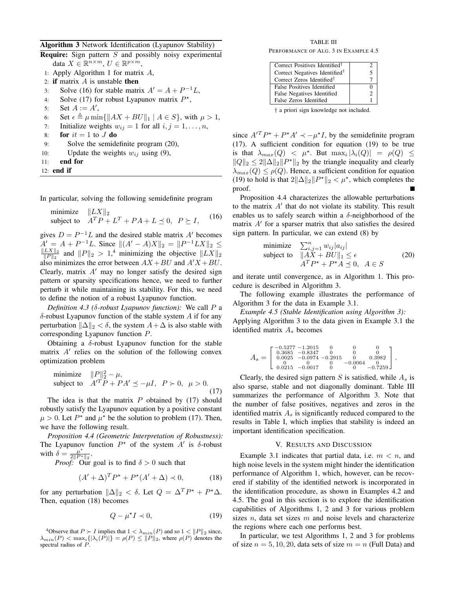## Algorithm 3 Network Identification (Lyapunov Stability)

|     | <b>Require:</b> Sign pattern $S$ and possibly noisy experimental                    |
|-----|-------------------------------------------------------------------------------------|
|     | data $X \in \mathbb{R}^{n \times m}$ , $U \in \mathbb{R}^{p \times m}$ .            |
|     | 1: Apply Algorithm 1 for matrix $A$ ,                                               |
|     | 2: <b>if</b> matrix A is unstable <b>then</b>                                       |
| 3:  | Solve (16) for stable matrix $A' = A + P^{-1}L$ ,                                   |
| 4:  | Solve (17) for robust Lyapunov matrix $P^*$ ,                                       |
| 5:  | Set $A := A'$ .                                                                     |
| 6:  | Set $\epsilon \triangleq \mu \min\{\ AX + BU\ _1 \mid A \in S\}$ , with $\mu > 1$ , |
| 7:  | Initialize weights $w_{ij} = 1$ for all $i, j = 1, , n$ ,                           |
| 8:  | for $it = 1$ to J do                                                                |
| 9:  | Solve the semidefinite program (20),                                                |
| 10: | Update the weights $w_{ij}$ using (9),                                              |
| 11: | end for                                                                             |
|     | 12: end if                                                                          |

In particular, solving the following semidefinite program

minimize 
$$
||LX||_2
$$
  
subject to  $A^T P + L^T + PA + L \preceq 0$ ,  $P \succeq I$ , (16)

gives  $D = P^{-1}L$  and the desired stable matrix A' becomes  $A' = A + P^{-1}L$ . Since  $||(A' - A)X||_2 = ||P^{-1}LX||_2 \le$  $\|LX\|_2$  $\frac{LX\|_2}{\|P\|_2}$  and  $\|P\|_2 > 1$ ,<sup>4</sup> minimizing the objective  $\|LX\|_2$ also minimizes the error between  $AX + BU$  and  $A'X + BU$ . Clearly, matrix  $A'$  may no longer satisfy the desired sign pattern or sparsity specifications hence, we need to further perturb it while maintaining its stability. For this, we need to define the notion of a robust Lyapunov function.

*Definition 4.3 (*δ*-robust Lyapunov function):* We call P a  $\delta$ -robust Lyapunov function of the stable system A if for any perturbation  $\|\Delta\|_2 < \delta$ , the system  $A + \Delta$  is also stable with corresponding Lyapunov function P.

Obtaining a  $\delta$ -robust Lyapunov function for the stable matrix  $A'$  relies on the solution of the following convex optimization problem

minimize 
$$
||P||_2^2 - \mu
$$
,  
subject to  $A'^T P + P A' \preceq -\mu I$ ,  $P > 0$ ,  $\mu > 0$ . (17)

The idea is that the matrix  $P$  obtained by (17) should robustly satisfy the Lyapunov equation by a positive constant  $\mu > 0$ . Let  $P^*$  and  $\mu^*$  be the solution to problem (17). Then, we have the following result.

*Proposition 4.4 (Geometric Interpretation of Robustness):* The Lyapunov function  $P^*$  of the system  $A'$  is  $\delta$ -robust with  $\delta = \frac{\mu^*}{2 \ln P^*}$  $\frac{\mu^*}{2\|P^\star\|_2}$ .

*Proof:* Our goal is to find  $\delta > 0$  such that

$$
(A' + \Delta)^T P^* + P^*(A' + \Delta) \prec 0,\tag{18}
$$

for any perturbation  $\|\Delta\|_2 < \delta$ . Let  $Q = \Delta^T P^* + P^* \Delta$ . Then, equation (18) becomes

$$
Q - \mu^* I \prec 0,\tag{19}
$$

<sup>4</sup>Observe that  $P \succ I$  implies that  $1 < \lambda_{min}(P)$  and so  $1 < ||P||_2$  since,  $\lambda_{min}(P) < \max_i \{|\lambda_i(P)|\} = \rho(P) \le ||P||_2$ , where  $\rho(P)$  denotes the spectral radius of P.

TABLE III

PERFORMANCE OF ALG. 3 IN EXAMPLE 4.5

| Correct Positives Identified <sup>T</sup> |  |
|-------------------------------------------|--|
| Correct Negatives Identified <sup>†</sup> |  |
| Correct Zeros Identified <sup>†</sup>     |  |
| False Positives Identified                |  |
| False Negatives Identified                |  |
| False Zeros Identified                    |  |

† a priori sign knowledge not included.

since  $A^{\prime T} P^* + P^* A^{\prime} \prec -\mu^* I$ , by the semidefinite program (17). A sufficient condition for equation (19) to be true is that  $\lambda_{max}(Q)$  <  $\mu^*$ . But  $\max_i |\lambda_i(Q)| = \rho(Q) \le$  $||Q||_2 \le 2||\Delta||_2||P^*||_2$  by the triangle inequality and clearly  $\lambda_{max}(Q) \leq \rho(Q)$ . Hence, a sufficient condition for equation (19) to hold is that  $2\|\Delta\|_2\|P^*\|_2 < \mu^*$ , which completes the proof.

Proposition 4.4 characterizes the allowable perturbations to the matrix  $A'$  that do not violate its stability. This result enables us to safely search within a  $\delta$ -neighborhood of the matrix  $A'$  for a sparser matrix that also satisfies the desired sign pattern. In particular, we can extend (8) by

minimize 
$$
\sum_{i,j=1}^{n} w_{ij} |a_{ij}|
$$
  
subject to 
$$
||AX + BU||_1 \le \epsilon
$$

$$
A^T P^* + P^* A \le 0, \quad A \in S
$$
 (20)

and iterate until convergence, as in Algorithm 1. This procedure is described in Algorithm 3.

The following example illustrates the performance of Algorithm 3 for the data in Example 3.1.

*Example 4.5 (Stable Identification using Algorithm 3):* Applying Algorithm 3 to the data given in Example 3.1 the identified matrix  $A<sub>s</sub>$  becomes

$$
A_s = \begin{bmatrix} -0.5277 & -1.2015 & 0 & 0 & 0 \\ 0.3685 & -0.8347 & 0 & 0 & 0 \\ 0.0025 & -0.0974 & -0.2915 & 0 & 0.3982 \\ 0 & 0 & 0 & 0 & -0.0064 & 0 \\ 0.0215 & -0.0017 & 0 & 0 & -0.7259 \end{bmatrix}.
$$

Clearly, the desired sign pattern  $S$  is satisfied, while  $A<sub>s</sub>$  is also sparse, stable and not diagonally dominant. Table III summarizes the performance of Algorithm 3. Note that the number of false positives, negatives and zeros in the identified matrix  $A_s$  is significantly reduced compared to the results in Table I, which implies that stability is indeed an important identification specification.

#### V. RESULTS AND DISCUSSION

Example 3.1 indicates that partial data, i.e.  $m < n$ , and high noise levels in the system might hinder the identification performance of Algorithm 1, which, however, can be recovered if stability of the identified network is incorporated in the identification procedure, as shown in Examples 4.2 and 4.5. The goal in this section is to explore the identification capabilities of Algorithms 1, 2 and 3 for various problem sizes  $n$ , data set sizes  $m$  and noise levels and characterize the regions where each one performs best.

In particular, we test Algorithms 1, 2 and 3 for problems of size  $n = 5, 10, 20$ , data sets of size  $m = n$  (Full Data) and